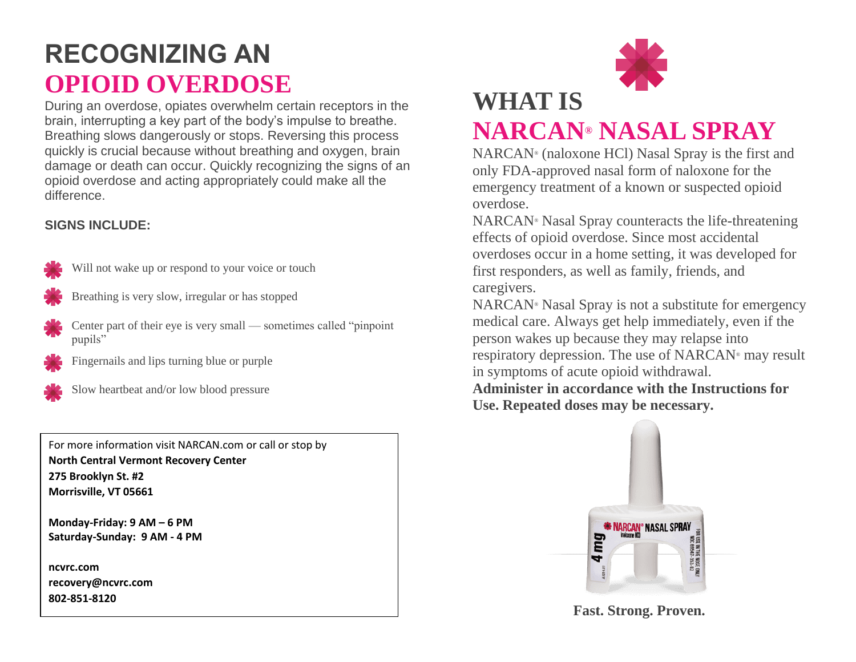# **RECOGNIZING AN OPIOID OVERDOSE**

During an overdose, opiates overwhelm certain receptors in the brain, interrupting a key part of the body's impulse to breathe. Breathing slows dangerously or stops. Reversing this process quickly is crucial because without breathing and oxygen, brain damage or death can occur. Quickly recognizing the signs of an opioid overdose and acting appropriately could make all the difference.

#### **SIGNS INCLUDE:**



Will not wake up or respond to your voice or touch



Breathing is very slow, irregular or has stopped

Center part of their eye is very small — sometimes called "pinpoint pupils"





Slow heartbeat and/or low blood pressure

For more information visit NARCAN.com or call or stop by **North Central Vermont Recovery Center 275 Brooklyn St. #2 Morrisville, VT 05661**

**Monday-Friday: 9 AM – 6 PM Saturday-Sunday: 9 AM - 4 PM** 

**ncvrc.com recovery@ncvrc.com 802-851-8120**



## **WHAT IS NARCAN® NASAL SPRAY**

NARCAN® (naloxone HCl) Nasal Spray is the first and only FDA-approved nasal form of naloxone for the emergency treatment of a known or [suspected](https://www.narcan.com/recognizing-opioid-overdoses) opioid [overdose.](https://www.narcan.com/recognizing-opioid-overdoses)

NARCAN® Nasal Spray counteracts the life-threatening effects of opioid overdose. Since most accidental overdoses occur in a home setting, it was developed for first responders, as well as family, friends, and caregivers.

NARCAN® Nasal Spray is not a substitute for emergency medical care. Always get help immediately, even if the person wakes up because they may relapse into respiratory depression. The use of NARCAN® may result in symptoms of acute opioid withdrawal.

**Administer in accordance with the Instructions for Use. Repeated doses may be necessary.**



 **Fast. Strong. Proven.**